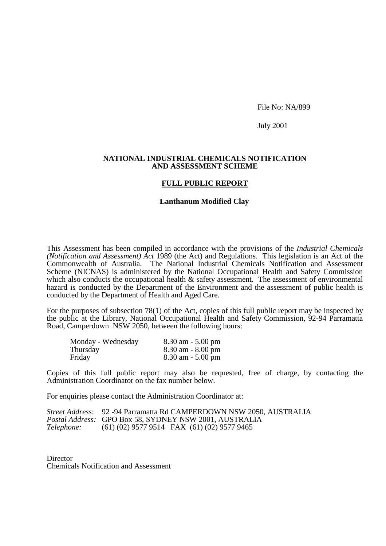File No: NA/899

July 2001

#### **NATIONAL INDUSTRIAL CHEMICALS NOTIFICATION AND ASSESSMENT SCHEME**

#### **FULL PUBLIC REPORT**

#### **Lanthanum Modified Clay**

This Assessment has been compiled in accordance with the provisions of the *Industrial Chemicals (Notification and Assessment) Act* 1989 (the Act) and Regulations. This legislation is an Act of the Commonwealth of Australia. The National Industrial Chemicals Notification and Assessment Scheme (NICNAS) is administered by the National Occupational Health and Safety Commission which also conducts the occupational health  $\&$  safety assessment. The assessment of environmental hazard is conducted by the Department of the Environment and the assessment of public health is conducted by the Department of Health and Aged Care.

For the purposes of subsection 78(1) of the Act, copies of this full public report may be inspected by the public at the Library, National Occupational Health and Safety Commission, 92-94 Parramatta Road, Camperdown NSW 2050, between the following hours:

| Monday - Wednesday | $8.30$ am $-5.00$ pm |
|--------------------|----------------------|
| Thursday           | $8.30$ am $-8.00$ pm |
| Friday             | $8.30$ am $-5.00$ pm |

Copies of this full public report may also be requested, free of charge, by contacting the Administration Coordinator on the fax number below.

For enquiries please contact the Administration Coordinator at:

*Street Address*: 92 -94 Parramatta Rd CAMPERDOWN NSW 2050, AUSTRALIA *Postal Address:* GPO Box 58, SYDNEY NSW 2001, AUSTRALIA *Telephone:* (61) (02) 9577 9514 FAX (61) (02) 9577 9465

**Director** Chemicals Notification and Assessment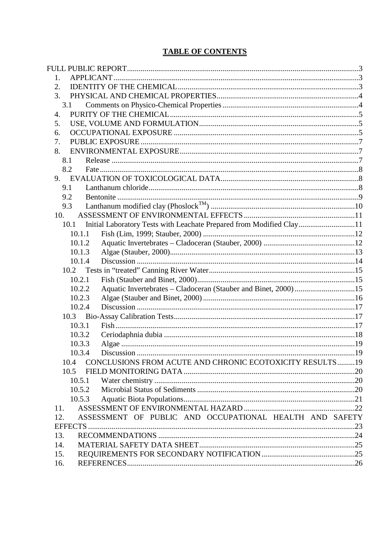# **TABLE OF CONTENTS**

| 1.                                                                           |  |
|------------------------------------------------------------------------------|--|
| 2.                                                                           |  |
| 3.                                                                           |  |
| 3.1                                                                          |  |
| 4.                                                                           |  |
| 5.                                                                           |  |
| 6.                                                                           |  |
| 7.                                                                           |  |
| 8.                                                                           |  |
| 8.1                                                                          |  |
| 8.2                                                                          |  |
| 9.                                                                           |  |
| 9.1                                                                          |  |
| 9.2                                                                          |  |
| 9.3                                                                          |  |
| 10.                                                                          |  |
| Initial Laboratory Tests with Leachate Prepared from Modified Clay11<br>10.1 |  |
| 10.1.1                                                                       |  |
| 10.1.2                                                                       |  |
| 10.1.3                                                                       |  |
| 10.1.4                                                                       |  |
| 10.2                                                                         |  |
| 10.2.1                                                                       |  |
| Aquatic Invertebrates - Cladoceran (Stauber and Binet, 2000) 15<br>10.2.2    |  |
| 10.2.3                                                                       |  |
| 10.2.4                                                                       |  |
| 10.3                                                                         |  |
| 10.3.1                                                                       |  |
| 10.3.2                                                                       |  |
| 10.3.3                                                                       |  |
| <b>Discussion</b><br>10.3.4                                                  |  |
| CONCLUSIONS FROM ACUTE AND CHRONIC ECOTOXICITY RESULTS19<br>10.4             |  |
| 10.5                                                                         |  |
| 10.5.1                                                                       |  |
| 10.5.2                                                                       |  |
| 10.5.3                                                                       |  |
| 11.                                                                          |  |
| ASSESSMENT OF PUBLIC AND OCCUPATIONAL HEALTH AND SAFETY<br>12.               |  |
|                                                                              |  |
| 13.                                                                          |  |
| 14.                                                                          |  |
| 15.                                                                          |  |
| 16.                                                                          |  |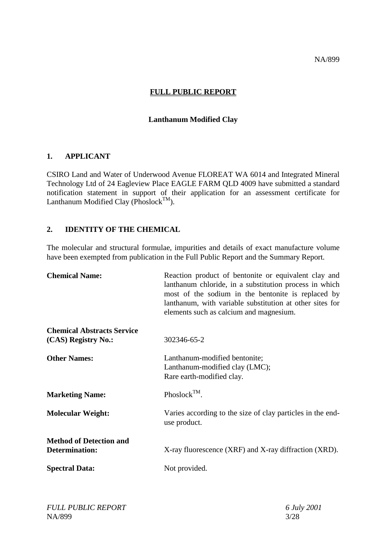NA/899

### **FULL PUBLIC REPORT**

### **Lanthanum Modified Clay**

#### **1. APPLICANT**

CSIRO Land and Water of Underwood Avenue FLOREAT WA 6014 and Integrated Mineral Technology Ltd of 24 Eagleview Place EAGLE FARM QLD 4009 have submitted a standard notification statement in support of their application for an assessment certificate for Lanthanum Modified Clay (Phoslock<sup>TM</sup>).

### **2. IDENTITY OF THE CHEMICAL**

The molecular and structural formulae, impurities and details of exact manufacture volume have been exempted from publication in the Full Public Report and the Summary Report.

| <b>Chemical Name:</b>                                    | Reaction product of bentonite or equivalent clay and<br>lanthanum chloride, in a substitution process in which<br>most of the sodium in the bentonite is replaced by<br>lanthanum, with variable substitution at other sites for<br>elements such as calcium and magnesium. |
|----------------------------------------------------------|-----------------------------------------------------------------------------------------------------------------------------------------------------------------------------------------------------------------------------------------------------------------------------|
| <b>Chemical Abstracts Service</b><br>(CAS) Registry No.: | 302346-65-2                                                                                                                                                                                                                                                                 |
| <b>Other Names:</b>                                      | Lanthanum-modified bentonite;<br>Lanthanum-modified clay (LMC);<br>Rare earth-modified clay.                                                                                                                                                                                |
| <b>Marketing Name:</b>                                   | Phoslock <sup>TM</sup> .                                                                                                                                                                                                                                                    |
| <b>Molecular Weight:</b>                                 | Varies according to the size of clay particles in the end-<br>use product.                                                                                                                                                                                                  |
| <b>Method of Detection and</b><br>Determination:         | X-ray fluorescence (XRF) and X-ray diffraction (XRD).                                                                                                                                                                                                                       |
| <b>Spectral Data:</b>                                    | Not provided.                                                                                                                                                                                                                                                               |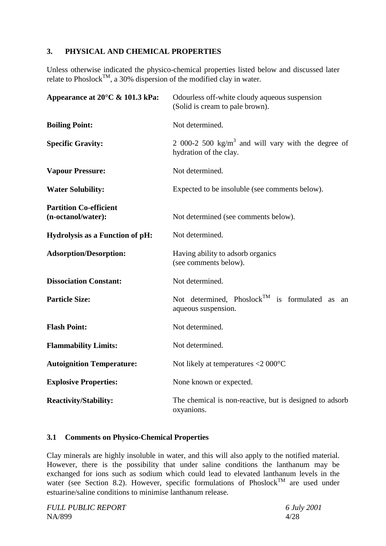### **3. PHYSICAL AND CHEMICAL PROPERTIES**

Unless otherwise indicated the physico-chemical properties listed below and discussed later relate to Phoslock<sup>TM</sup>, a 30% dispersion of the modified clay in water.

| Appearance at 20°C & 101.3 kPa:                     | Odourless off-white cloudy aqueous suspension<br>(Solid is cream to pale brown).         |  |  |
|-----------------------------------------------------|------------------------------------------------------------------------------------------|--|--|
| <b>Boiling Point:</b>                               | Not determined.                                                                          |  |  |
| <b>Specific Gravity:</b>                            | 2 000-2 500 kg/m <sup>3</sup> and will vary with the degree of<br>hydration of the clay. |  |  |
| <b>Vapour Pressure:</b>                             | Not determined.                                                                          |  |  |
| <b>Water Solubility:</b>                            | Expected to be insoluble (see comments below).                                           |  |  |
| <b>Partition Co-efficient</b><br>(n-octanol/water): | Not determined (see comments below).                                                     |  |  |
| <b>Hydrolysis as a Function of pH:</b>              | Not determined.                                                                          |  |  |
| <b>Adsorption/Desorption:</b>                       | Having ability to adsorb organics<br>(see comments below).                               |  |  |
| <b>Dissociation Constant:</b>                       | Not determined.                                                                          |  |  |
| <b>Particle Size:</b>                               | Not determined, Phoslock <sup>TM</sup> is formulated as<br>an<br>aqueous suspension.     |  |  |
| <b>Flash Point:</b>                                 | Not determined.                                                                          |  |  |
| <b>Flammability Limits:</b>                         | Not determined.                                                                          |  |  |
| <b>Autoignition Temperature:</b>                    | Not likely at temperatures $<$ 2000 $^{\circ}$ C                                         |  |  |
| <b>Explosive Properties:</b>                        | None known or expected.                                                                  |  |  |
| <b>Reactivity/Stability:</b>                        | The chemical is non-reactive, but is designed to adsorb<br>oxyanions.                    |  |  |

### **3.1 Comments on Physico-Chemical Properties**

Clay minerals are highly insoluble in water, and this will also apply to the notified material. However, there is the possibility that under saline conditions the lanthanum may be exchanged for ions such as sodium which could lead to elevated lanthanum levels in the water (see Section 8.2). However, specific formulations of Phoslock<sup>TM</sup> are used under estuarine/saline conditions to minimise lanthanum release.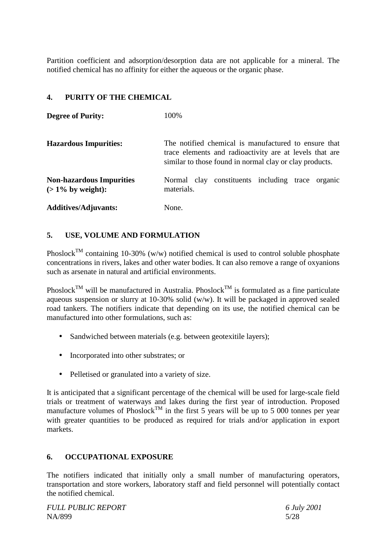Partition coefficient and adsorption/desorption data are not applicable for a mineral. The notified chemical has no affinity for either the aqueous or the organic phase.

# **4. PURITY OF THE CHEMICAL**

| <b>Degree of Purity:</b>                                 | 100%                                                                                                                                                                       |  |  |  |
|----------------------------------------------------------|----------------------------------------------------------------------------------------------------------------------------------------------------------------------------|--|--|--|
| <b>Hazardous Impurities:</b>                             | The notified chemical is manufactured to ensure that<br>trace elements and radioactivity are at levels that are<br>similar to those found in normal clay or clay products. |  |  |  |
| <b>Non-hazardous Impurities</b><br>$($ > 1\% by weight): | constituents including<br>Normal clay<br>trace<br>organic<br>materials.                                                                                                    |  |  |  |
| <b>Additives/Adjuvants:</b>                              | None.                                                                                                                                                                      |  |  |  |

# **5. USE, VOLUME AND FORMULATION**

Phoslock<sup>TM</sup> containing 10-30% (w/w) notified chemical is used to control soluble phosphate concentrations in rivers, lakes and other water bodies. It can also remove a range of oxyanions such as arsenate in natural and artificial environments.

Phoslock<sup>TM</sup> will be manufactured in Australia. Phoslock<sup>TM</sup> is formulated as a fine particulate aqueous suspension or slurry at 10-30% solid (w/w). It will be packaged in approved sealed road tankers. The notifiers indicate that depending on its use, the notified chemical can be manufactured into other formulations, such as:

- Sandwiched between materials (e.g. between geotexitile layers);
- Incorporated into other substrates; or
- Pelletised or granulated into a variety of size.

It is anticipated that a significant percentage of the chemical will be used for large-scale field trials or treatment of waterways and lakes during the first year of introduction. Proposed manufacture volumes of Phoslock<sup>TM</sup> in the first 5 years will be up to 5 000 tonnes per year with greater quantities to be produced as required for trials and/or application in export markets.

### **6. OCCUPATIONAL EXPOSURE**

The notifiers indicated that initially only a small number of manufacturing operators, transportation and store workers, laboratory staff and field personnel will potentially contact the notified chemical.

*FULL PUBLIC REPORT 6 July 2001* NA/899 5/28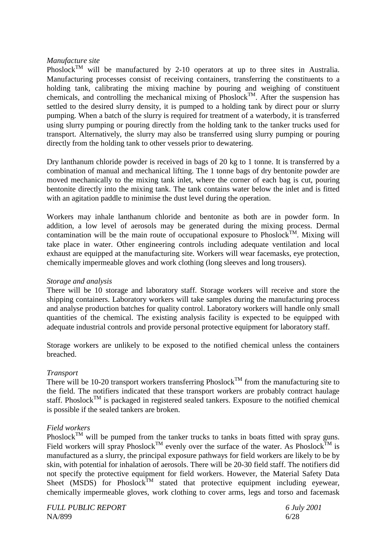#### *Manufacture site*

Phoslock<sup>TM</sup> will be manufactured by 2-10 operators at up to three sites in Australia. Manufacturing processes consist of receiving containers, transferring the constituents to a holding tank, calibrating the mixing machine by pouring and weighing of constituent chemicals, and controlling the mechanical mixing of Phoslock<sup>TM</sup>. After the suspension has settled to the desired slurry density, it is pumped to a holding tank by direct pour or slurry pumping. When a batch of the slurry is required for treatment of a waterbody, it is transferred using slurry pumping or pouring directly from the holding tank to the tanker trucks used for transport. Alternatively, the slurry may also be transferred using slurry pumping or pouring directly from the holding tank to other vessels prior to dewatering.

Dry lanthanum chloride powder is received in bags of 20 kg to 1 tonne. It is transferred by a combination of manual and mechanical lifting. The 1 tonne bags of dry bentonite powder are moved mechanically to the mixing tank inlet, where the corner of each bag is cut, pouring bentonite directly into the mixing tank. The tank contains water below the inlet and is fitted with an agitation paddle to minimise the dust level during the operation.

Workers may inhale lanthanum chloride and bentonite as both are in powder form. In addition, a low level of aerosols may be generated during the mixing process. Dermal contamination will be the main route of occupational exposure to Phoslock<sup>TM</sup>. Mixing will take place in water. Other engineering controls including adequate ventilation and local exhaust are equipped at the manufacturing site. Workers will wear facemasks, eye protection, chemically impermeable gloves and work clothing (long sleeves and long trousers).

#### *Storage and analysis*

There will be 10 storage and laboratory staff. Storage workers will receive and store the shipping containers. Laboratory workers will take samples during the manufacturing process and analyse production batches for quality control. Laboratory workers will handle only small quantities of the chemical. The existing analysis facility is expected to be equipped with adequate industrial controls and provide personal protective equipment for laboratory staff.

Storage workers are unlikely to be exposed to the notified chemical unless the containers breached.

### *Transport*

There will be 10-20 transport workers transferring Phoslock<sup>TM</sup> from the manufacturing site to the field. The notifiers indicated that these transport workers are probably contract haulage staff. Phoslock<sup>TM</sup> is packaged in registered sealed tankers. Exposure to the notified chemical is possible if the sealed tankers are broken.

#### *Field workers*

Phoslock<sup>TM</sup> will be pumped from the tanker trucks to tanks in boats fitted with spray guns. Field workers will spray Phoslock<sup>TM</sup> evenly over the surface of the water. As Phoslock<sup>TM</sup> is manufactured as a slurry, the principal exposure pathways for field workers are likely to be by skin, with potential for inhalation of aerosols. There will be 20-30 field staff. The notifiers did not specify the protective equipment for field workers. However, the Material Safety Data Sheet (MSDS) for Phoslock<sup>TM</sup> stated that protective equipment including eyewear, chemically impermeable gloves, work clothing to cover arms, legs and torso and facemask

*FULL PUBLIC REPORT 6 July 2001* NA/899 6/28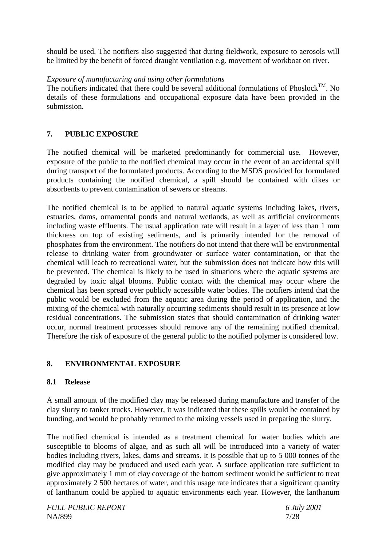should be used. The notifiers also suggested that during fieldwork, exposure to aerosols will be limited by the benefit of forced draught ventilation e.g. movement of workboat on river.

### *Exposure of manufacturing and using other formulations*

The notifiers indicated that there could be several additional formulations of Phoslock<sup>TM</sup>. No details of these formulations and occupational exposure data have been provided in the submission.

### **7. PUBLIC EXPOSURE**

The notified chemical will be marketed predominantly for commercial use. However, exposure of the public to the notified chemical may occur in the event of an accidental spill during transport of the formulated products. According to the MSDS provided for formulated products containing the notified chemical, a spill should be contained with dikes or absorbents to prevent contamination of sewers or streams.

The notified chemical is to be applied to natural aquatic systems including lakes, rivers, estuaries, dams, ornamental ponds and natural wetlands, as well as artificial environments including waste effluents. The usual application rate will result in a layer of less than 1 mm thickness on top of existing sediments, and is primarily intended for the removal of phosphates from the environment. The notifiers do not intend that there will be environmental release to drinking water from groundwater or surface water contamination, or that the chemical will leach to recreational water, but the submission does not indicate how this will be prevented. The chemical is likely to be used in situations where the aquatic systems are degraded by toxic algal blooms. Public contact with the chemical may occur where the chemical has been spread over publicly accessible water bodies. The notifiers intend that the public would be excluded from the aquatic area during the period of application, and the mixing of the chemical with naturally occurring sediments should result in its presence at low residual concentrations. The submission states that should contamination of drinking water occur, normal treatment processes should remove any of the remaining notified chemical. Therefore the risk of exposure of the general public to the notified polymer is considered low.

# **8. ENVIRONMENTAL EXPOSURE**

### **8.1 Release**

A small amount of the modified clay may be released during manufacture and transfer of the clay slurry to tanker trucks. However, it was indicated that these spills would be contained by bunding, and would be probably returned to the mixing vessels used in preparing the slurry.

The notified chemical is intended as a treatment chemical for water bodies which are susceptible to blooms of algae, and as such all will be introduced into a variety of water bodies including rivers, lakes, dams and streams. It is possible that up to 5 000 tonnes of the modified clay may be produced and used each year. A surface application rate sufficient to give approximately 1 mm of clay coverage of the bottom sediment would be sufficient to treat approximately 2 500 hectares of water, and this usage rate indicates that a significant quantity of lanthanum could be applied to aquatic environments each year. However, the lanthanum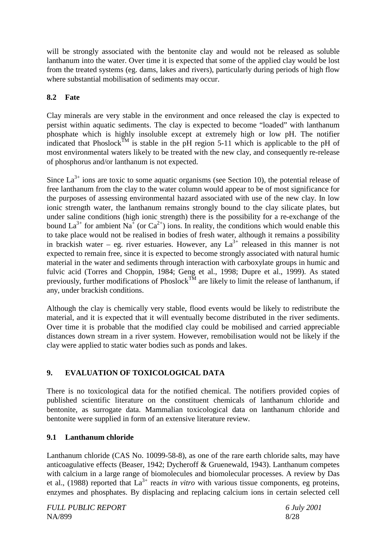will be strongly associated with the bentonite clay and would not be released as soluble lanthanum into the water. Over time it is expected that some of the applied clay would be lost from the treated systems (eg. dams, lakes and rivers), particularly during periods of high flow where substantial mobilisation of sediments may occur.

# **8.2 Fate**

Clay minerals are very stable in the environment and once released the clay is expected to persist within aquatic sediments. The clay is expected to become "loaded" with lanthanum phosphate which is highly insoluble except at extremely high or low pH. The notifier indicated that Phoslock<sup>TM</sup> is stable in the pH region 5-11 which is applicable to the pH of most environmental waters likely to be treated with the new clay, and consequently re-release of phosphorus and/or lanthanum is not expected.

Since  $La^{3+}$  ions are toxic to some aquatic organisms (see Section 10), the potential release of free lanthanum from the clay to the water column would appear to be of most significance for the purposes of assessing environmental hazard associated with use of the new clay. In low ionic strength water, the lanthanum remains strongly bound to the clay silicate plates, but under saline conditions (high ionic strength) there is the possibility for a re-exchange of the bound  $La^{3+}$  for ambient Na<sup>+</sup> (or Ca<sup>2+</sup>) ions. In reality, the conditions which would enable this to take place would not be realised in bodies of fresh water, although it remains a possibility in brackish water – eg. river estuaries. However, any  $La^{3+}$  released in this manner is not expected to remain free, since it is expected to become strongly associated with natural humic material in the water and sediments through interaction with carboxylate groups in humic and fulvic acid (Torres and Choppin, 1984; Geng et al., 1998; Dupre et al., 1999). As stated previously, further modifications of Phoslock<sup>TM</sup> are likely to limit the release of lanthanum, if any, under brackish conditions.

Although the clay is chemically very stable, flood events would be likely to redistribute the material, and it is expected that it will eventually become distributed in the river sediments. Over time it is probable that the modified clay could be mobilised and carried appreciable distances down stream in a river system. However, remobilisation would not be likely if the clay were applied to static water bodies such as ponds and lakes.

# **9. EVALUATION OF TOXICOLOGICAL DATA**

There is no toxicological data for the notified chemical. The notifiers provided copies of published scientific literature on the constituent chemicals of lanthanum chloride and bentonite, as surrogate data. Mammalian toxicological data on lanthanum chloride and bentonite were supplied in form of an extensive literature review.

# **9.1 Lanthanum chloride**

Lanthanum chloride (CAS No. 10099-58-8), as one of the rare earth chloride salts, may have anticoagulative effects (Beaser, 1942; Dycheroff & Gruenewald, 1943). Lanthanum competes with calcium in a large range of biomolecules and biomolecular processes. A review by Das et al., (1988) reported that  $La^{3+}$  reacts *in vitro* with various tissue components, eg proteins, enzymes and phosphates. By displacing and replacing calcium ions in certain selected cell

*FULL PUBLIC REPORT 6 July 2001* NA/899 8/28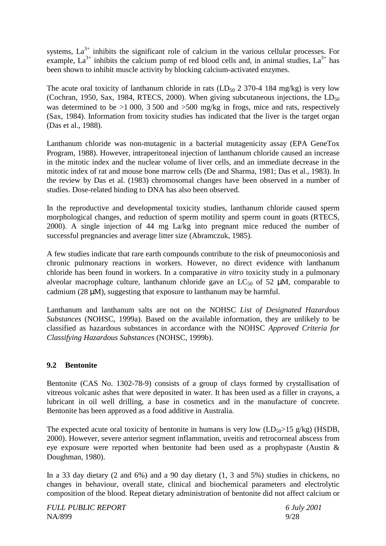systems,  $La^{3+}$  inhibits the significant role of calcium in the various cellular processes. For example,  $La^{3+}$  inhibits the calcium pump of red blood cells and, in animal studies,  $La^{3+}$  has been shown to inhibit muscle activity by blocking calcium-activated enzymes.

The acute oral toxicity of lanthanum chloride in rats  $(LD_{50} 2 370-4 184 mg/kg)$  is very low (Cochran, 1950, Sax, 1984, RTECS, 2000). When giving subcutaneous injections, the  $LD_{50}$ was determined to be  $>1000$ , 3 500 and  $>500$  mg/kg in frogs, mice and rats, respectively (Sax, 1984). Information from toxicity studies has indicated that the liver is the target organ (Das et al., 1988).

Lanthanum chloride was non-mutagenic in a bacterial mutagenicity assay (EPA GeneTox Program, 1988). However, intraperitoneal injection of lanthanum chloride caused an increase in the mitotic index and the nuclear volume of liver cells, and an immediate decrease in the mitotic index of rat and mouse bone marrow cells (De and Sharma, 1981; Das et al., 1983). In the review by Das et al. (1983) chromosomal changes have been observed in a number of studies. Dose-related binding to DNA has also been observed.

In the reproductive and developmental toxicity studies, lanthanum chloride caused sperm morphological changes, and reduction of sperm motility and sperm count in goats (RTECS, 2000). A single injection of 44 mg La/kg into pregnant mice reduced the number of successful pregnancies and average litter size (Abramczuk, 1985).

A few studies indicate that rare earth compounds contribute to the risk of pneumoconiosis and chronic pulmonary reactions in workers. However, no direct evidence with lanthanum chloride has been found in workers. In a comparative *in vitro* toxicity study in a pulmonary alveolar macrophage culture, lanthanum chloride gave an  $LC_{50}$  of 52  $\mu$ M, comparable to cadmium (28 µM), suggesting that exposure to lanthanum may be harmful.

Lanthanum and lanthanum salts are not on the NOHSC *List of Designated Hazardous Substances* (NOHSC, 1999a). Based on the available information, they are unlikely to be classified as hazardous substances in accordance with the NOHSC *Approved Criteria for Classifying Hazardous Substances* (NOHSC, 1999b).

# **9.2 Bentonite**

Bentonite (CAS No. 1302-78-9) consists of a group of clays formed by crystallisation of vitreous volcanic ashes that were deposited in water. It has been used as a filler in crayons, a lubricant in oil well drilling, a base in cosmetics and in the manufacture of concrete. Bentonite has been approved as a food additive in Australia.

The expected acute oral toxicity of bentonite in humans is very low (LD $_{50}$ >15 g/kg) (HSDB, 2000). However, severe anterior segment inflammation, uveitis and retrocorneal abscess from eye exposure were reported when bentonite had been used as a prophypaste (Austin & Doughman, 1980).

In a 33 day dietary (2 and 6%) and a 90 day dietary (1, 3 and 5%) studies in chickens, no changes in behaviour, overall state, clinical and biochemical parameters and electrolytic composition of the blood. Repeat dietary administration of bentonite did not affect calcium or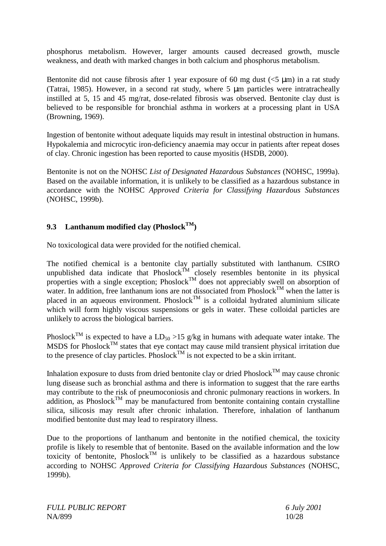phosphorus metabolism. However, larger amounts caused decreased growth, muscle weakness, and death with marked changes in both calcium and phosphorus metabolism.

Bentonite did not cause fibrosis after 1 year exposure of 60 mg dust  $(5 \mu m)$  in a rat study (Tatrai, 1985). However, in a second rat study, where 5 µm particles were intratracheally instilled at 5, 15 and 45 mg/rat, dose-related fibrosis was observed. Bentonite clay dust is believed to be responsible for bronchial asthma in workers at a processing plant in USA (Browning, 1969).

Ingestion of bentonite without adequate liquids may result in intestinal obstruction in humans. Hypokalemia and microcytic iron-deficiency anaemia may occur in patients after repeat doses of clay. Chronic ingestion has been reported to cause myositis (HSDB, 2000).

Bentonite is not on the NOHSC *List of Designated Hazardous Substances* (NOHSC, 1999a). Based on the available information, it is unlikely to be classified as a hazardous substance in accordance with the NOHSC *Approved Criteria for Classifying Hazardous Substances* (NOHSC, 1999b).

# 9.3 Lanthanum modified clay (Phoslock<sup>TM</sup>)

No toxicological data were provided for the notified chemical.

The notified chemical is a bentonite clay partially substituted with lanthanum. CSIRO unpublished data indicate that  $Phoslock^{TM}$  closely resembles bentonite in its physical properties with a single exception;  $Phoslock^{TM}$  does not appreciably swell on absorption of water. In addition, free lanthanum ions are not dissociated from Phoslock<sup>TM</sup> when the latter is placed in an aqueous environment. Phoslock<sup>TM</sup> is a colloidal hydrated aluminium silicate which will form highly viscous suspensions or gels in water. These colloidal particles are unlikely to across the biological barriers.

Phoslock<sup>TM</sup> is expected to have a LD<sub>50</sub> > 15 g/kg in humans with adequate water intake. The MSDS for Phoslock<sup>TM</sup> states that eye contact may cause mild transient physical irritation due to the presence of clay particles. Phoslock<sup>TM</sup> is not expected to be a skin irritant.

Inhalation exposure to dusts from dried bentonite clay or dried Phoslock<sup>TM</sup> may cause chronic lung disease such as bronchial asthma and there is information to suggest that the rare earths may contribute to the risk of pneumoconiosis and chronic pulmonary reactions in workers. In addition, as Phoslock<sup>TM</sup> may be manufactured from bentonite containing contain crystalline silica, silicosis may result after chronic inhalation. Therefore, inhalation of lanthanum modified bentonite dust may lead to respiratory illness.

Due to the proportions of lanthanum and bentonite in the notified chemical, the toxicity profile is likely to resemble that of bentonite. Based on the available information and the low toxicity of bentonite, Phoslock<sup>TM</sup> is unlikely to be classified as a hazardous substance according to NOHSC *Approved Criteria for Classifying Hazardous Substances* (NOHSC, 1999b).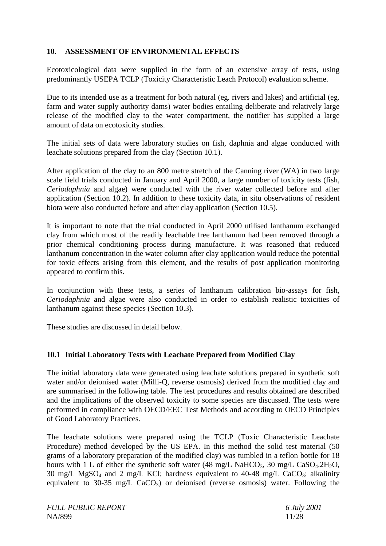### **10. ASSESSMENT OF ENVIRONMENTAL EFFECTS**

Ecotoxicological data were supplied in the form of an extensive array of tests, using predominantly USEPA TCLP (Toxicity Characteristic Leach Protocol) evaluation scheme.

Due to its intended use as a treatment for both natural (eg. rivers and lakes) and artificial (eg. farm and water supply authority dams) water bodies entailing deliberate and relatively large release of the modified clay to the water compartment, the notifier has supplied a large amount of data on ecotoxicity studies.

The initial sets of data were laboratory studies on fish, daphnia and algae conducted with leachate solutions prepared from the clay (Section 10.1).

After application of the clay to an 800 metre stretch of the Canning river (WA) in two large scale field trials conducted in January and April 2000, a large number of toxicity tests (fish, *Ceriodaphnia* and algae) were conducted with the river water collected before and after application (Section 10.2). In addition to these toxicity data, in situ observations of resident biota were also conducted before and after clay application (Section 10.5).

It is important to note that the trial conducted in April 2000 utilised lanthanum exchanged clay from which most of the readily leachable free lanthanum had been removed through a prior chemical conditioning process during manufacture. It was reasoned that reduced lanthanum concentration in the water column after clay application would reduce the potential for toxic effects arising from this element, and the results of post application monitoring appeared to confirm this.

In conjunction with these tests, a series of lanthanum calibration bio-assays for fish, *Ceriodaphnia* and algae were also conducted in order to establish realistic toxicities of lanthanum against these species (Section 10.3).

These studies are discussed in detail below.

# **10.1 Initial Laboratory Tests with Leachate Prepared from Modified Clay**

The initial laboratory data were generated using leachate solutions prepared in synthetic soft water and/or deionised water (Milli-Q, reverse osmosis) derived from the modified clay and are summarised in the following table. The test procedures and results obtained are described and the implications of the observed toxicity to some species are discussed. The tests were performed in compliance with OECD/EEC Test Methods and according to OECD Principles of Good Laboratory Practices.

The leachate solutions were prepared using the TCLP (Toxic Characteristic Leachate Procedure) method developed by the US EPA. In this method the solid test material (50 grams of a laboratory preparation of the modified clay) was tumbled in a teflon bottle for 18 hours with 1 L of either the synthetic soft water (48 mg/L NaHCO<sub>3</sub>, 30 mg/L CaSO<sub>4</sub>.2H<sub>2</sub>O, 30 mg/L MgSO<sub>4</sub> and 2 mg/L KCl; hardness equivalent to 40-48 mg/L CaCO<sub>3</sub>; alkalinity equivalent to  $30-35$  mg/L  $CaCO<sub>3</sub>$ ) or deionised (reverse osmosis) water. Following the

| <i>FULL PUBLIC REPORT</i> | 6 July 2001 |
|---------------------------|-------------|
| NA/899                    | 11/28       |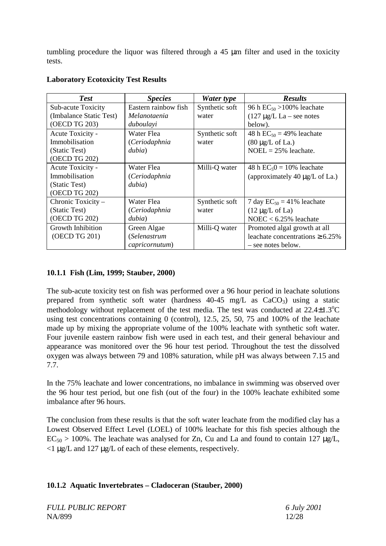tumbling procedure the liquor was filtered through a 45 µm filter and used in the toxicity tests.

| <b>Test</b>             | <i>Species</i>       | Water type     | <b>Results</b>                                |
|-------------------------|----------------------|----------------|-----------------------------------------------|
| Sub-acute Toxicity      | Eastern rainbow fish | Synthetic soft | 96 h $EC_{50} > 100\%$ leachate               |
| (Imbalance Static Test) | <i>Melanotaenia</i>  | water          | $(127 \mu g/L \text{ L}a - \text{see notes})$ |
| (OECD TG 203)           | duboulayi            |                | below).                                       |
| Acute Toxicity -        | Water Flea           | Synthetic soft | 48 h $EC_{50} = 49\%$ leachate                |
| Immobilisation          | (Ceriodaphnia        | water          | $(80 \mu g/L \text{ of } La.)$                |
| (Static Test)           | dubia)               |                | $NOEL = 25\%$ leachate.                       |
| (OECD TG 202)           |                      |                |                                               |
| Acute Toxicity -        | Water Flea           | Milli-Q water  | 48 h $EC_50 = 10\%$ leachate                  |
| Immobilisation          | (Ceriodaphnia        |                | (approximately 40 $\mu$ g/L of La.)           |
| (Static Test)           | dubia)               |                |                                               |
| (OECD TG 202)           |                      |                |                                               |
| Chronic Toxicity -      | Water Flea           | Synthetic soft | 7 day $EC_{50} = 41\%$ leachate               |
| (Static Test)           | (Ceriodaphnia        | water          | $(12 \mu g/L)$ of La                          |
| (OECD TG 202)           | dubia)               |                | NOEC $< 6.25\%$ leachate                      |
| Growth Inhibition       | Green Algae          | Milli-Q water  | Promoted algal growth at all                  |
| (OECD TG 201)           | (Selenastrum         |                | leachate concentrations $\geq 6.25\%$         |
|                         | capricornutum)       |                | $-$ see notes below.                          |

### **Laboratory Ecotoxicity Test Results**

# **10.1.1 Fish (Lim, 1999; Stauber, 2000)**

The sub-acute toxicity test on fish was performed over a 96 hour period in leachate solutions prepared from synthetic soft water (hardness  $40-45$  mg/L as  $CaCO<sub>3</sub>$ ) using a static methodology without replacement of the test media. The test was conducted at  $22.4 \pm 1.3^{\circ}C$ using test concentrations containing 0 (control), 12.5, 25, 50, 75 and 100% of the leachate made up by mixing the appropriate volume of the 100% leachate with synthetic soft water. Four juvenile eastern rainbow fish were used in each test, and their general behaviour and appearance was monitored over the 96 hour test period. Throughout the test the dissolved oxygen was always between 79 and 108% saturation, while pH was always between 7.15 and 7.7.

In the 75% leachate and lower concentrations, no imbalance in swimming was observed over the 96 hour test period, but one fish (out of the four) in the 100% leachate exhibited some imbalance after 96 hours.

The conclusion from these results is that the soft water leachate from the modified clay has a Lowest Observed Effect Level (LOEL) of 100% leachate for this fish species although the  $EC_{50} > 100\%$ . The leachate was analysed for Zn, Cu and La and found to contain 127 µg/L, <1 µg/L and 127 µg/L of each of these elements, respectively.

# **10.1.2 Aquatic Invertebrates – Cladoceran (Stauber, 2000)**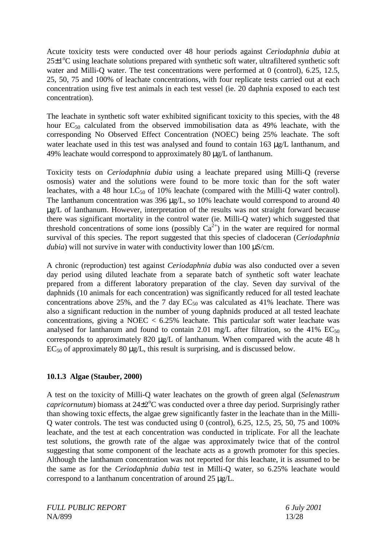Acute toxicity tests were conducted over 48 hour periods against *Ceriodaphnia dubia* at 25±1°C using leachate solutions prepared with synthetic soft water, ultrafiltered synthetic soft water and Milli-O water. The test concentrations were performed at 0 (control), 6.25, 12.5, 25, 50, 75 and 100% of leachate concentrations, with four replicate tests carried out at each concentration using five test animals in each test vessel (ie. 20 daphnia exposed to each test concentration).

The leachate in synthetic soft water exhibited significant toxicity to this species, with the 48 hour  $EC_{50}$  calculated from the observed immobilisation data as 49% leachate, with the corresponding No Observed Effect Concentration (NOEC) being 25% leachate. The soft water leachate used in this test was analysed and found to contain 163  $\mu$ g/L lanthanum, and 49% leachate would correspond to approximately 80 µg/L of lanthanum.

Toxicity tests on *Ceriodaphnia dubia* using a leachate prepared using Milli-Q (reverse osmosis) water and the solutions were found to be more toxic than for the soft water leachates, with a 48 hour  $LC_{50}$  of 10% leachate (compared with the Milli-Q water control). The lanthanum concentration was 396 µg/L, so 10% leachate would correspond to around 40 µg/L of lanthanum. However, interpretation of the results was not straight forward because there was significant mortality in the control water (ie. Milli-Q water) which suggested that threshold concentrations of some ions (possibly  $Ca^{2+}$ ) in the water are required for normal survival of this species. The report suggested that this species of cladoceran (*Ceriodaphnia dubia*) will not survive in water with conductivity lower than 100  $\mu$ S/cm.

A chronic (reproduction) test against *Ceriodaphnia dubia* was also conducted over a seven day period using diluted leachate from a separate batch of synthetic soft water leachate prepared from a different laboratory preparation of the clay. Seven day survival of the daphnids (10 animals for each concentration) was significantly reduced for all tested leachate concentrations above 25%, and the 7 day  $EC_{50}$  was calculated as 41% leachate. There was also a significant reduction in the number of young daphnids produced at all tested leachate concentrations, giving a NOEC  $< 6.25\%$  leachate. This particular soft water leachate was analysed for lanthanum and found to contain 2.01 mg/L after filtration, so the 41%  $EC_{50}$ corresponds to approximately 820 µg/L of lanthanum. When compared with the acute 48 h  $EC_{50}$  of approximately 80  $\mu$ g/L, this result is surprising, and is discussed below.

### **10.1.3 Algae (Stauber, 2000)**

A test on the toxicity of Milli-Q water leachates on the growth of green algal (*Selenastrum capricornutum*) biomass at 24±2<sup>o</sup>C was conducted over a three day period. Surprisingly rather than showing toxic effects, the algae grew significantly faster in the leachate than in the Milli-Q water controls. The test was conducted using 0 (control), 6.25, 12.5, 25, 50, 75 and 100% leachate, and the test at each concentration was conducted in triplicate. For all the leachate test solutions, the growth rate of the algae was approximately twice that of the control suggesting that some component of the leachate acts as a growth promoter for this species. Although the lanthanum concentration was not reported for this leachate, it is assumed to be the same as for the *Ceriodaphnia dubia* test in Milli-Q water, so 6.25% leachate would correspond to a lanthanum concentration of around 25 µg/L.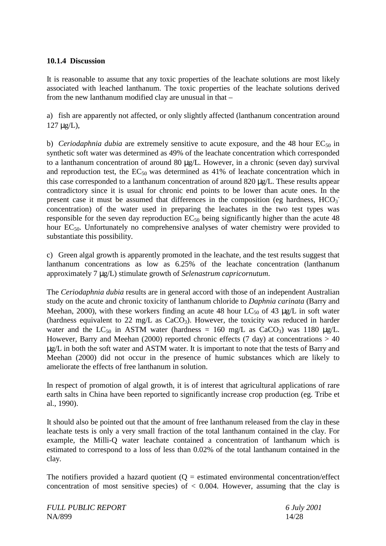### **10.1.4 Discussion**

It is reasonable to assume that any toxic properties of the leachate solutions are most likely associated with leached lanthanum. The toxic properties of the leachate solutions derived from the new lanthanum modified clay are unusual in that –

a) fish are apparently not affected, or only slightly affected (lanthanum concentration around 127 µg/L),

b) *Ceriodaphnia dubia* are extremely sensitive to acute exposure, and the 48 hour  $EC_{50}$  in synthetic soft water was determined as 49% of the leachate concentration which corresponded to a lanthanum concentration of around 80 µg/L. However, in a chronic (seven day) survival and reproduction test, the  $EC_{50}$  was determined as 41% of leachate concentration which in this case corresponded to a lanthanum concentration of around 820 µg/L. These results appear contradictory since it is usual for chronic end points to be lower than acute ones. In the present case it must be assumed that differences in the composition (eg hardness,  $HCO<sub>3</sub>$ ) concentration) of the water used in preparing the leachates in the two test types was responsible for the seven day reproduction  $EC_{50}$  being significantly higher than the acute 48 hour EC<sub>50</sub>. Unfortunately no comprehensive analyses of water chemistry were provided to substantiate this possibility.

c) Green algal growth is apparently promoted in the leachate, and the test results suggest that lanthanum concentrations as low as 6.25% of the leachate concentration (lanthanum approximately 7 µg/L) stimulate growth of *Selenastrum capricornutum*.

The *Ceriodaphnia dubia* results are in general accord with those of an independent Australian study on the acute and chronic toxicity of lanthanum chloride to *Daphnia carinata* (Barry and Meehan, 2000), with these workers finding an acute 48 hour  $LC_{50}$  of 43  $\mu g/L$  in soft water (hardness equivalent to  $22 \text{ mg/L}$  as  $CaCO<sub>3</sub>$ ). However, the toxicity was reduced in harder water and the LC<sub>50</sub> in ASTM water (hardness = 160 mg/L as CaCO<sub>3</sub>) was 1180 µg/L. However, Barry and Meehan (2000) reported chronic effects (7 day) at concentrations  $> 40$ µg/L in both the soft water and ASTM water. It is important to note that the tests of Barry and Meehan (2000) did not occur in the presence of humic substances which are likely to ameliorate the effects of free lanthanum in solution.

In respect of promotion of algal growth, it is of interest that agricultural applications of rare earth salts in China have been reported to significantly increase crop production (eg. Tribe et al., 1990).

It should also be pointed out that the amount of free lanthanum released from the clay in these leachate tests is only a very small fraction of the total lanthanum contained in the clay. For example, the Milli-Q water leachate contained a concentration of lanthanum which is estimated to correspond to a loss of less than 0.02% of the total lanthanum contained in the clay.

The notifiers provided a hazard quotient  $(Q =$  estimated environmental concentration/effect concentration of most sensitive species) of  $< 0.004$ . However, assuming that the clay is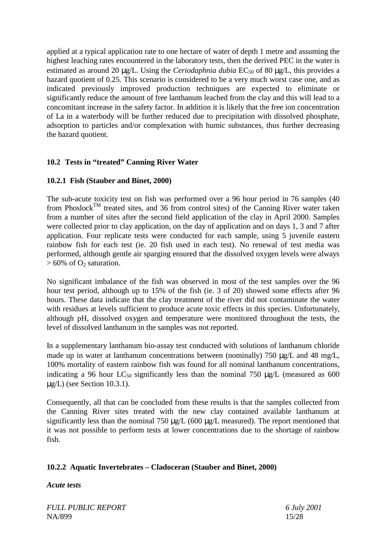applied at a typical application rate to one hectare of water of depth 1 metre and assuming the highest leaching rates encountered in the laboratory tests, then the derived PEC in the water is estimated as around 20  $\mu$ g/L. Using the *Ceriodaphnia dubia* EC<sub>50</sub> of 80  $\mu$ g/L, this provides a hazard quotient of 0.25. This scenario is considered to be a very much worst case one, and as indicated previously improved production techniques are expected to eliminate or significantly reduce the amount of free lanthanum leached from the clay and this will lead to a concomitant increase in the safety factor. In addition it is likely that the free ion concentration of La in a waterbody will be further reduced due to precipitation with dissolved phosphate, adsorption to particles and/or complexation with humic substances, thus further decreasing the hazard quotient.

### **10.2 Tests in "treated" Canning River Water**

### **10.2.1 Fish (Stauber and Binet, 2000)**

The sub-acute toxicity test on fish was performed over a 96 hour period in 76 samples (40 from Phoslock<sup>TM</sup> treated sites, and 36 from control sites) of the Canning River water taken from a number of sites after the second field application of the clay in April 2000. Samples were collected prior to clay application, on the day of application and on days 1, 3 and 7 after application. Four replicate tests were conducted for each sample, using 5 juvenile eastern rainbow fish for each test (ie. 20 fish used in each test). No renewal of test media was performed, although gentle air sparging ensured that the dissolved oxygen levels were always  $> 60\%$  of O<sub>2</sub> saturation.

No significant imbalance of the fish was observed in most of the test samples over the 96 hour test period, although up to 15% of the fish (ie. 3 of 20) showed some effects after 96 hours. These data indicate that the clay treatment of the river did not contaminate the water with residues at levels sufficient to produce acute toxic effects in this species. Unfortunately, although pH, dissolved oxygen and temperature were monitored throughout the tests, the level of dissolved lanthanum in the samples was not reported.

In a supplementary lanthanum bio-assay test conducted with solutions of lanthanum chloride made up in water at lanthanum concentrations between (nominally) 750 µg/L and 48 mg/L, 100% mortality of eastern rainbow fish was found for all nominal lanthanum concentrations, indicating a 96 hour LC<sub>50</sub> significantly less than the nominal 750  $\mu$ g/L (measured as 600  $\mu$ g/L) (see Section 10.3.1).

Consequently, all that can be concluded from these results is that the samples collected from the Canning River sites treated with the new clay contained available lanthanum at significantly less than the nominal 750  $\mu$ g/L (600  $\mu$ g/L measured). The report mentioned that it was not possible to perform tests at lower concentrations due to the shortage of rainbow fish.

### **10.2.2 Aquatic Invertebrates – Cladoceran (Stauber and Binet, 2000)**

*Acute tests*

*FULL PUBLIC REPORT 6 July 2001* NA/899 15/28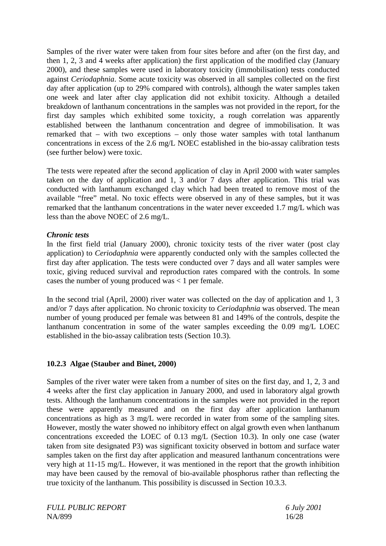Samples of the river water were taken from four sites before and after (on the first day, and then 1, 2, 3 and 4 weeks after application) the first application of the modified clay (January 2000), and these samples were used in laboratory toxicity (immobilisation) tests conducted against *Ceriodaphnia*. Some acute toxicity was observed in all samples collected on the first day after application (up to 29% compared with controls), although the water samples taken one week and later after clay application did not exhibit toxicity. Although a detailed breakdown of lanthanum concentrations in the samples was not provided in the report, for the first day samples which exhibited some toxicity, a rough correlation was apparently established between the lanthanum concentration and degree of immobilisation. It was remarked that – with two exceptions – only those water samples with total lanthanum concentrations in excess of the 2.6 mg/L NOEC established in the bio-assay calibration tests (see further below) were toxic.

The tests were repeated after the second application of clay in April 2000 with water samples taken on the day of application and 1, 3 and/or 7 days after application. This trial was conducted with lanthanum exchanged clay which had been treated to remove most of the available "free" metal. No toxic effects were observed in any of these samples, but it was remarked that the lanthanum concentrations in the water never exceeded 1.7 mg/L which was less than the above NOEC of 2.6 mg/L.

#### *Chronic tests*

In the first field trial (January 2000), chronic toxicity tests of the river water (post clay application) to *Ceriodaphnia* were apparently conducted only with the samples collected the first day after application. The tests were conducted over 7 days and all water samples were toxic, giving reduced survival and reproduction rates compared with the controls. In some cases the number of young produced was  $\lt 1$  per female.

In the second trial (April, 2000) river water was collected on the day of application and 1, 3 and/or 7 days after application. No chronic toxicity to *Ceriodaphnia* was observed. The mean number of young produced per female was between 81 and 149% of the controls, despite the lanthanum concentration in some of the water samples exceeding the 0.09 mg/L LOEC established in the bio-assay calibration tests (Section 10.3).

### **10.2.3 Algae (Stauber and Binet, 2000)**

Samples of the river water were taken from a number of sites on the first day, and 1, 2, 3 and 4 weeks after the first clay application in January 2000, and used in laboratory algal growth tests. Although the lanthanum concentrations in the samples were not provided in the report these were apparently measured and on the first day after application lanthanum concentrations as high as 3 mg/L were recorded in water from some of the sampling sites. However, mostly the water showed no inhibitory effect on algal growth even when lanthanum concentrations exceeded the LOEC of 0.13 mg/L (Section 10.3). In only one case (water taken from site designated P3) was significant toxicity observed in bottom and surface water samples taken on the first day after application and measured lanthanum concentrations were very high at 11-15 mg/L. However, it was mentioned in the report that the growth inhibition may have been caused by the removal of bio-available phosphorus rather than reflecting the true toxicity of the lanthanum. This possibility is discussed in Section 10.3.3.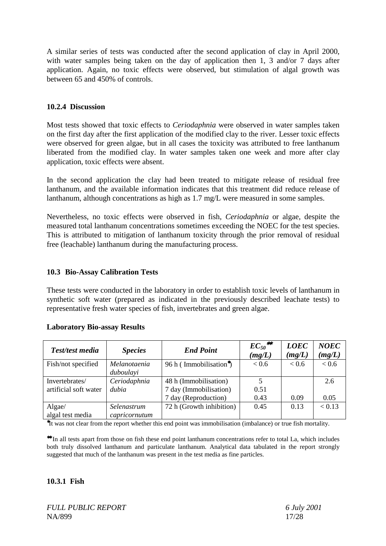A similar series of tests was conducted after the second application of clay in April 2000, with water samples being taken on the day of application then 1, 3 and/or 7 days after application. Again, no toxic effects were observed, but stimulation of algal growth was between 65 and 450% of controls.

### **10.2.4 Discussion**

Most tests showed that toxic effects to *Ceriodaphnia* were observed in water samples taken on the first day after the first application of the modified clay to the river. Lesser toxic effects were observed for green algae, but in all cases the toxicity was attributed to free lanthanum liberated from the modified clay. In water samples taken one week and more after clay application, toxic effects were absent.

In the second application the clay had been treated to mitigate release of residual free lanthanum, and the available information indicates that this treatment did reduce release of lanthanum, although concentrations as high as 1.7 mg/L were measured in some samples.

Nevertheless, no toxic effects were observed in fish, *Ceriodaphnia* or algae, despite the measured total lanthanum concentrations sometimes exceeding the NOEC for the test species. This is attributed to mitigation of lanthanum toxicity through the prior removal of residual free (leachable) lanthanum during the manufacturing process.

#### **10.3 Bio-Assay Calibration Tests**

These tests were conducted in the laboratory in order to establish toxic levels of lanthanum in synthetic soft water (prepared as indicated in the previously described leachate tests) to representative fresh water species of fish, invertebrates and green algae.

| Test/test media                         | <b>Species</b>               | <b>End Point</b>                                | $EC_{50}$ **<br>(mg/L) | <b>LOEC</b><br>(mg/L) | <b>NOEC</b><br>(mg/L) |
|-----------------------------------------|------------------------------|-------------------------------------------------|------------------------|-----------------------|-----------------------|
| Fish/not specified                      | Melanotaenia<br>duboulayi    | 96 h (Immobilisation <sup>*</sup> )             | < 0.6                  | < 0.6                 | < 0.6                 |
| Invertebrates/<br>artificial soft water | Ceriodaphnia<br>dubia        | 48 h (Immobilisation)<br>7 day (Immobilisation) | 0.51                   |                       | 2.6                   |
|                                         |                              | 7 day (Reproduction)                            | 0.43                   | 0.09                  | 0.05                  |
| Algae/<br>algal test media              | Selenastrum<br>capricornutum | 72 h (Growth inhibition)                        | 0.45                   | 0.13                  | < 0.13                |

#### **Laboratory Bio-assay Results**

∗ It was not clear from the report whether this end point was immobilisation (imbalance) or true fish mortality.

∗∗ In all tests apart from those on fish these end point lanthanum concentrations refer to total La, which includes both truly dissolved lanthanum and particulate lanthanum. Analytical data tabulated in the report strongly suggested that much of the lanthanum was present in the test media as fine particles.

#### **10.3.1 Fish**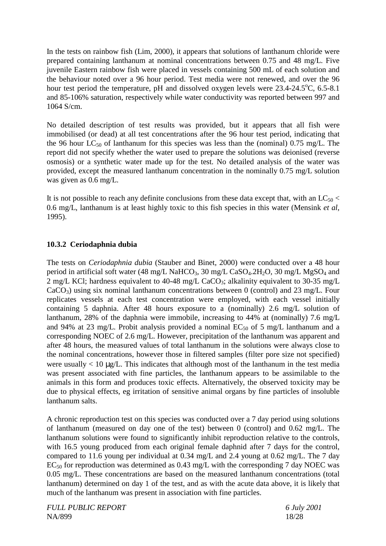In the tests on rainbow fish (Lim, 2000), it appears that solutions of lanthanum chloride were prepared containing lanthanum at nominal concentrations between 0.75 and 48 mg/L. Five juvenile Eastern rainbow fish were placed in vessels containing 500 mL of each solution and the behaviour noted over a 96 hour period. Test media were not renewed, and over the 96 hour test period the temperature, pH and dissolved oxygen levels were 23.4-24.5°C, 6.5-8.1 and 85-106% saturation, respectively while water conductivity was reported between 997 and 1064 S/cm.

No detailed description of test results was provided, but it appears that all fish were immobilised (or dead) at all test concentrations after the 96 hour test period, indicating that the 96 hour  $LC_{50}$  of lanthanum for this species was less than the (nominal) 0.75 mg/L. The report did not specify whether the water used to prepare the solutions was deionised (reverse osmosis) or a synthetic water made up for the test. No detailed analysis of the water was provided, except the measured lanthanum concentration in the nominally 0.75 mg/L solution was given as 0.6 mg/L.

It is not possible to reach any definite conclusions from these data except that, with an  $LC_{50}$  < 0.6 mg/L, lanthanum is at least highly toxic to this fish species in this water (Mensink *et al*, 1995).

#### **10.3.2 Ceriodaphnia dubia**

The tests on *Ceriodaphnia dubia* (Stauber and Binet, 2000) were conducted over a 48 hour period in artificial soft water (48 mg/L NaHCO<sub>3</sub>, 30 mg/L CaSO<sub>4</sub>.2H<sub>2</sub>O, 30 mg/L MgSO<sub>4</sub> and 2 mg/L KCl; hardness equivalent to 40-48 mg/L CaCO<sub>3</sub>; alkalinity equivalent to 30-35 mg/L  $CaCO<sub>3</sub>$ ) using six nominal lanthanum concentrations between 0 (control) and 23 mg/L. Four replicates vessels at each test concentration were employed, with each vessel initially containing 5 daphnia. After 48 hours exposure to a (nominally) 2.6 mg/L solution of lanthanum, 28% of the daphnia were immobile, increasing to 44% at (nominally) 7.6 mg/L and 94% at 23 mg/L. Probit analysis provided a nominal  $EC_{50}$  of 5 mg/L lanthanum and a corresponding NOEC of 2.6 mg/L. However, precipitation of the lanthanum was apparent and after 48 hours, the measured values of total lanthanum in the solutions were always close to the nominal concentrations, however those in filtered samples (filter pore size not specified) were usually  $< 10 \mu g/L$ . This indicates that although most of the lanthanum in the test media was present associated with fine particles, the lanthanum appears to be assimilable to the animals in this form and produces toxic effects. Alternatively, the observed toxicity may be due to physical effects, eg irritation of sensitive animal organs by fine particles of insoluble lanthanum salts.

A chronic reproduction test on this species was conducted over a 7 day period using solutions of lanthanum (measured on day one of the test) between 0 (control) and 0.62 mg/L. The lanthanum solutions were found to significantly inhibit reproduction relative to the controls, with 16.5 young produced from each original female daphnid after 7 days for the control, compared to 11.6 young per individual at 0.34 mg/L and 2.4 young at 0.62 mg/L. The 7 day  $EC_{50}$  for reproduction was determined as 0.43 mg/L with the corresponding 7 day NOEC was 0.05 mg/L. These concentrations are based on the measured lanthanum concentrations (total lanthanum) determined on day 1 of the test, and as with the acute data above, it is likely that much of the lanthanum was present in association with fine particles.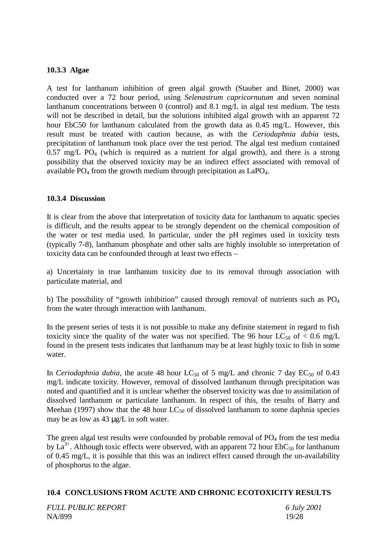### **10.3.3 Algae**

A test for lanthanum inhibition of green algal growth (Stauber and Binet, 2000) was conducted over a 72 hour period, using *Selenastrum capricornutum* and seven nominal lanthanum concentrations between 0 (control) and 8.1 mg/L in algal test medium. The tests will not be described in detail, but the solutions inhibited algal growth with an apparent 72 hour EbC50 for lanthanum calculated from the growth data as 0.45 mg/L. However, this result must be treated with caution because, as with the *Ceriodaphnia dubia* tests, precipitation of lanthanum took place over the test period. The algal test medium contained  $0.57 \text{ mg/L}$  PO<sub>4</sub> (which is required as a nutrient for algal growth), and there is a strong possibility that the observed toxicity may be an indirect effect associated with removal of available  $PO_4$  from the growth medium through precipitation as  $LaPO_4$ .

#### **10.3.4 Discussion**

It is clear from the above that interpretation of toxicity data for lanthanum to aquatic species is difficult, and the results appear to be strongly dependent on the chemical composition of the water or test media used. In particular, under the pH regimes used in toxicity tests (typically 7-8), lanthanum phosphate and other salts are highly insoluble so interpretation of toxicity data can be confounded through at least two effects –

a) Uncertainty in true lanthanum toxicity due to its removal through association with particulate material, and

b) The possibility of "growth inhibition" caused through removal of nutrients such as  $PO<sub>4</sub>$ from the water through interaction with lanthanum.

In the present series of tests it is not possible to make any definite statement in regard to fish toxicity since the quality of the water was not specified. The 96 hour  $LC_{50}$  of  $< 0.6$  mg/L found in the present tests indicates that lanthanum may be at least highly toxic to fish in some water.

In *Ceriodaphnia dubia*, the acute 48 hour  $LC_{50}$  of 5 mg/L and chronic 7 day  $EC_{50}$  of 0.43 mg/L indicate toxicity. However, removal of dissolved lanthanum through precipitation was noted and quantified and it is unclear whether the observed toxicity was due to assimilation of dissolved lanthanum or particulate lanthanum. In respect of this, the results of Barry and Meehan (1997) show that the 48 hour  $LC_{50}$  of dissolved lanthanum to some daphnia species may be as low as 43 µg/L in soft water.

The green algal test results were confounded by probable removal of  $PO<sub>4</sub>$  from the test media by La<sup>3+</sup>. Although toxic effects were observed, with an apparent 72 hour EbC<sub>50</sub> for lanthanum of 0.45 mg/L, it is possible that this was an indirect effect caused through the un-availability of phosphorus to the algae.

# **10.4 CONCLUSIONS FROM ACUTE AND CHRONIC ECOTOXICITY RESULTS**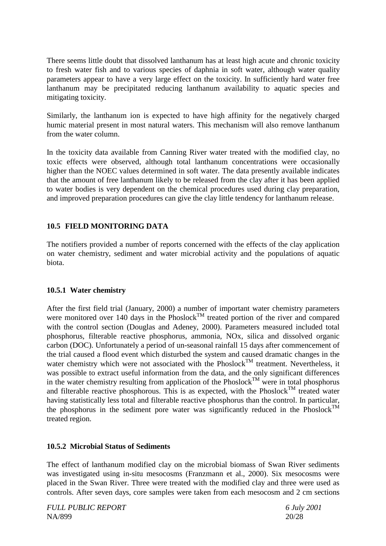There seems little doubt that dissolved lanthanum has at least high acute and chronic toxicity to fresh water fish and to various species of daphnia in soft water, although water quality parameters appear to have a very large effect on the toxicity. In sufficiently hard water free lanthanum may be precipitated reducing lanthanum availability to aquatic species and mitigating toxicity.

Similarly, the lanthanum ion is expected to have high affinity for the negatively charged humic material present in most natural waters. This mechanism will also remove lanthanum from the water column.

In the toxicity data available from Canning River water treated with the modified clay, no toxic effects were observed, although total lanthanum concentrations were occasionally higher than the NOEC values determined in soft water. The data presently available indicates that the amount of free lanthanum likely to be released from the clay after it has been applied to water bodies is very dependent on the chemical procedures used during clay preparation, and improved preparation procedures can give the clay little tendency for lanthanum release.

### **10.5 FIELD MONITORING DATA**

The notifiers provided a number of reports concerned with the effects of the clay application on water chemistry, sediment and water microbial activity and the populations of aquatic biota.

### **10.5.1 Water chemistry**

After the first field trial (January, 2000) a number of important water chemistry parameters were monitored over 140 days in the Phoslock<sup>TM</sup> treated portion of the river and compared with the control section (Douglas and Adeney, 2000). Parameters measured included total phosphorus, filterable reactive phosphorus, ammonia, NOx, silica and dissolved organic carbon (DOC). Unfortunately a period of un-seasonal rainfall 15 days after commencement of the trial caused a flood event which disturbed the system and caused dramatic changes in the water chemistry which were not associated with the Phoslock<sup>TM</sup> treatment. Nevertheless, it was possible to extract useful information from the data, and the only significant differences in the water chemistry resulting from application of the Phoslock<sup>TM</sup> were in total phosphorus and filterable reactive phosphorous. This is as expected, with the Phoslock<sup>TM</sup> treated water having statistically less total and filterable reactive phosphorus than the control. In particular, the phosphorus in the sediment pore water was significantly reduced in the Phoslock<sup>TM</sup> treated region.

### **10.5.2 Microbial Status of Sediments**

The effect of lanthanum modified clay on the microbial biomass of Swan River sediments was investigated using in-situ mesocosms (Franzmann et al., 2000). Six mesocosms were placed in the Swan River. Three were treated with the modified clay and three were used as controls. After seven days, core samples were taken from each mesocosm and 2 cm sections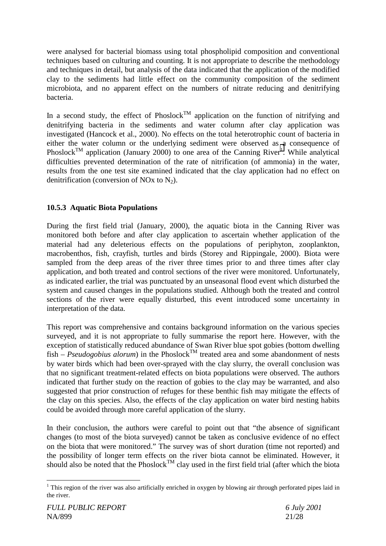were analysed for bacterial biomass using total phospholipid composition and conventional techniques based on culturing and counting. It is not appropriate to describe the methodology and techniques in detail, but analysis of the data indicated that the application of the modified clay to the sediments had little effect on the community composition of the sediment microbiota, and no apparent effect on the numbers of nitrate reducing and denitrifying bacteria.

In a second study, the effect of Phoslock<sup>TM</sup> application on the function of nitrifying and denitrifying bacteria in the sediments and water column after clay application was investigated (Hancock et al., 2000). No effects on the total heterotrophic count of bacteria in either the water column or the underlying sediment were observed as a consequence of Phoslock<sup>TM</sup> application (January 2000) to one area of the Canning River<sup>1</sup>. While analytical difficulties prevented determination of the rate of nitrification (of ammonia) in the water, results from the one test site examined indicated that the clay application had no effect on denitrification (conversion of NOx to  $N_2$ ).

# **10.5.3 Aquatic Biota Populations**

During the first field trial (January, 2000), the aquatic biota in the Canning River was monitored both before and after clay application to ascertain whether application of the material had any deleterious effects on the populations of periphyton, zooplankton, macrobenthos, fish, crayfish, turtles and birds (Storey and Rippingale, 2000). Biota were sampled from the deep areas of the river three times prior to and three times after clay application, and both treated and control sections of the river were monitored. Unfortunately, as indicated earlier, the trial was punctuated by an unseasonal flood event which disturbed the system and caused changes in the populations studied. Although both the treated and control sections of the river were equally disturbed, this event introduced some uncertainty in interpretation of the data.

This report was comprehensive and contains background information on the various species surveyed, and it is not appropriate to fully summarise the report here. However, with the exception of statistically reduced abundance of Swan River blue spot gobies (bottom dwelling  $fish - Pseudogobius$  *alorum*) in the Phoslock<sup>TM</sup> treated area and some abandonment of nests by water birds which had been over-sprayed with the clay slurry, the overall conclusion was that no significant treatment-related effects on biota populations were observed. The authors indicated that further study on the reaction of gobies to the clay may be warranted, and also suggested that prior construction of refuges for these benthic fish may mitigate the effects of the clay on this species. Also, the effects of the clay application on water bird nesting habits could be avoided through more careful application of the slurry.

In their conclusion, the authors were careful to point out that "the absence of significant changes (to most of the biota surveyed) cannot be taken as conclusive evidence of no effect on the biota that were monitored." The survey was of short duration (time not reported) and the possibility of longer term effects on the river biota cannot be eliminated. However, it should also be noted that the Phoslock<sup>TM</sup> clay used in the first field trial (after which the biota

 $1$  This region of the river was also artificially enriched in oxygen by blowing air through perforated pipes laid in the river.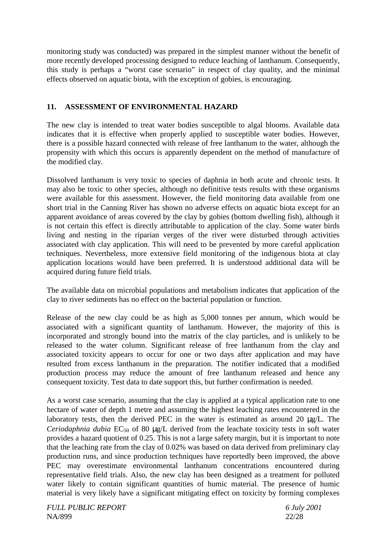monitoring study was conducted) was prepared in the simplest manner without the benefit of more recently developed processing designed to reduce leaching of lanthanum. Consequently, this study is perhaps a "worst case scenario" in respect of clay quality, and the minimal effects observed on aquatic biota, with the exception of gobies, is encouraging.

### **11. ASSESSMENT OF ENVIRONMENTAL HAZARD**

The new clay is intended to treat water bodies susceptible to algal blooms. Available data indicates that it is effective when properly applied to susceptible water bodies. However, there is a possible hazard connected with release of free lanthanum to the water, although the propensity with which this occurs is apparently dependent on the method of manufacture of the modified clay.

Dissolved lanthanum is very toxic to species of daphnia in both acute and chronic tests. It may also be toxic to other species, although no definitive tests results with these organisms were available for this assessment. However, the field monitoring data available from one short trial in the Canning River has shown no adverse effects on aquatic biota except for an apparent avoidance of areas covered by the clay by gobies (bottom dwelling fish), although it is not certain this effect is directly attributable to application of the clay. Some water birds living and nesting in the riparian verges of the river were disturbed through activities associated with clay application. This will need to be prevented by more careful application techniques. Nevertheless, more extensive field monitoring of the indigenous biota at clay application locations would have been preferred. It is understood additional data will be acquired during future field trials.

The available data on microbial populations and metabolism indicates that application of the clay to river sediments has no effect on the bacterial population or function.

Release of the new clay could be as high as 5,000 tonnes per annum, which would be associated with a significant quantity of lanthanum. However, the majority of this is incorporated and strongly bound into the matrix of the clay particles, and is unlikely to be released to the water column. Significant release of free lanthanum from the clay and associated toxicity appears to occur for one or two days after application and may have resulted from excess lanthanum in the preparation. The notifier indicated that a modified production process may reduce the amount of free lanthanum released and hence any consequent toxicity. Test data to date support this, but further confirmation is needed.

As a worst case scenario, assuming that the clay is applied at a typical application rate to one hectare of water of depth 1 metre and assuming the highest leaching rates encountered in the laboratory tests, then the derived PEC in the water is estimated as around 20  $\mu$ g/L. The *Ceriodaphnia dubia*  $EC_{50}$  of 80  $\mu g/L$  derived from the leachate toxicity tests in soft water provides a hazard quotient of 0.25. This is not a large safety margin, but it is important to note that the leaching rate from the clay of 0.02% was based on data derived from preliminary clay production runs, and since production techniques have reportedly been improved, the above PEC may overestimate environmental lanthanum concentrations encountered during representative field trials. Also, the new clay has been designed as a treatment for polluted water likely to contain significant quantities of humic material. The presence of humic material is very likely have a significant mitigating effect on toxicity by forming complexes

*FULL PUBLIC REPORT 6 July 2001* NA/899 22/28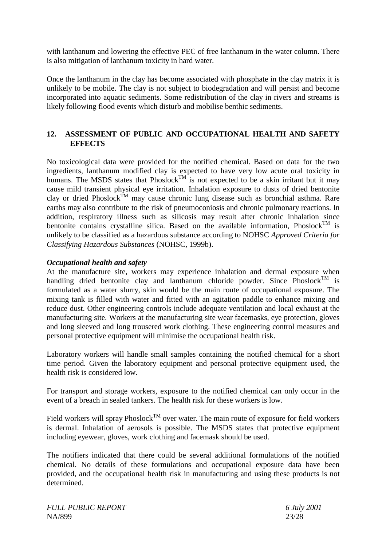with lanthanum and lowering the effective PEC of free lanthanum in the water column. There is also mitigation of lanthanum toxicity in hard water.

Once the lanthanum in the clay has become associated with phosphate in the clay matrix it is unlikely to be mobile. The clay is not subject to biodegradation and will persist and become incorporated into aquatic sediments. Some redistribution of the clay in rivers and streams is likely following flood events which disturb and mobilise benthic sediments.

### **12. ASSESSMENT OF PUBLIC AND OCCUPATIONAL HEALTH AND SAFETY EFFECTS**

No toxicological data were provided for the notified chemical. Based on data for the two ingredients, lanthanum modified clay is expected to have very low acute oral toxicity in humans. The MSDS states that Phoslock<sup>TM</sup> is not expected to be a skin irritant but it may cause mild transient physical eye irritation. Inhalation exposure to dusts of dried bentonite clay or dried Phoslock<sup>TM</sup> may cause chronic lung disease such as bronchial asthma. Rare earths may also contribute to the risk of pneumoconiosis and chronic pulmonary reactions. In addition, respiratory illness such as silicosis may result after chronic inhalation since bentonite contains crystalline silica. Based on the available information, Phoslock<sup>TM</sup> is unlikely to be classified as a hazardous substance according to NOHSC *Approved Criteria for Classifying Hazardous Substances* (NOHSC, 1999b).

### *Occupational health and safety*

At the manufacture site, workers may experience inhalation and dermal exposure when handling dried bentonite clay and lanthanum chloride powder. Since Phoslock<sup>TM</sup> is formulated as a water slurry, skin would be the main route of occupational exposure. The mixing tank is filled with water and fitted with an agitation paddle to enhance mixing and reduce dust. Other engineering controls include adequate ventilation and local exhaust at the manufacturing site. Workers at the manufacturing site wear facemasks, eye protection, gloves and long sleeved and long trousered work clothing. These engineering control measures and personal protective equipment will minimise the occupational health risk.

Laboratory workers will handle small samples containing the notified chemical for a short time period. Given the laboratory equipment and personal protective equipment used, the health risk is considered low.

For transport and storage workers, exposure to the notified chemical can only occur in the event of a breach in sealed tankers. The health risk for these workers is low.

Field workers will spray Phoslock<sup>TM</sup> over water. The main route of exposure for field workers is dermal. Inhalation of aerosols is possible. The MSDS states that protective equipment including eyewear, gloves, work clothing and facemask should be used.

The notifiers indicated that there could be several additional formulations of the notified chemical. No details of these formulations and occupational exposure data have been provided, and the occupational health risk in manufacturing and using these products is not determined.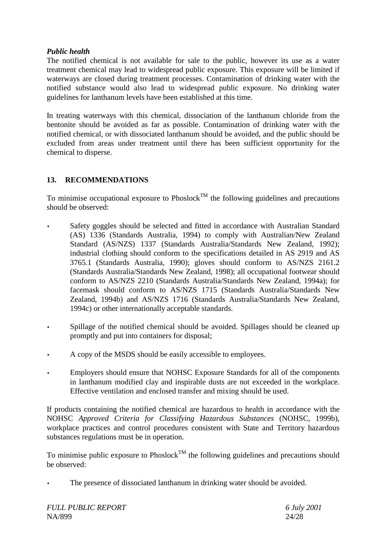### *Public health*

The notified chemical is not available for sale to the public, however its use as a water treatment chemical may lead to widespread public exposure. This exposure will be limited if waterways are closed during treatment processes. Contamination of drinking water with the notified substance would also lead to widespread public exposure. No drinking water guidelines for lanthanum levels have been established at this time.

In treating waterways with this chemical, dissociation of the lanthanum chloride from the bentonite should be avoided as far as possible. Contamination of drinking water with the notified chemical, or with dissociated lanthanum should be avoided, and the public should be excluded from areas under treatment until there has been sufficient opportunity for the chemical to disperse.

### **13. RECOMMENDATIONS**

To minimise occupational exposure to Phoslock<sup>TM</sup> the following guidelines and precautions should be observed:

- Safety goggles should be selected and fitted in accordance with Australian Standard (AS) 1336 (Standards Australia, 1994) to comply with Australian/New Zealand Standard (AS/NZS) 1337 (Standards Australia/Standards New Zealand, 1992); industrial clothing should conform to the specifications detailed in AS 2919 and AS 3765.1 (Standards Australia, 1990); gloves should conform to AS/NZS 2161.2 (Standards Australia/Standards New Zealand, 1998); all occupational footwear should conform to AS/NZS 2210 (Standards Australia/Standards New Zealand, 1994a); for facemask should conform to AS/NZS 1715 (Standards Australia/Standards New Zealand, 1994b) and AS/NZS 1716 (Standards Australia/Standards New Zealand, 1994c) or other internationally acceptable standards.
- Spillage of the notified chemical should be avoided. Spillages should be cleaned up promptly and put into containers for disposal;
- A copy of the MSDS should be easily accessible to employees.
- Employers should ensure that NOHSC Exposure Standards for all of the components in lanthanum modified clay and inspirable dusts are not exceeded in the workplace. Effective ventilation and enclosed transfer and mixing should be used.

If products containing the notified chemical are hazardous to health in accordance with the NOHSC *Approved Criteria for Classifying Hazardous Substances* (NOHSC, 1999b), workplace practices and control procedures consistent with State and Territory hazardous substances regulations must be in operation.

To minimise public exposure to Phoslock<sup>TM</sup> the following guidelines and precautions should be observed:

The presence of dissociated lanthanum in drinking water should be avoided.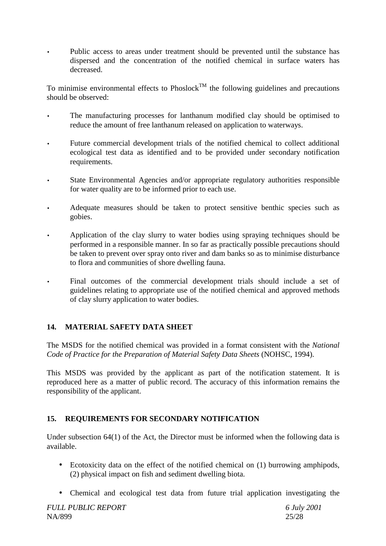• Public access to areas under treatment should be prevented until the substance has dispersed and the concentration of the notified chemical in surface waters has decreased.

To minimise environmental effects to Phoslock<sup>TM</sup> the following guidelines and precautions should be observed:

- The manufacturing processes for lanthanum modified clay should be optimised to reduce the amount of free lanthanum released on application to waterways.
- Future commercial development trials of the notified chemical to collect additional ecological test data as identified and to be provided under secondary notification requirements.
- State Environmental Agencies and/or appropriate regulatory authorities responsible for water quality are to be informed prior to each use.
- Adequate measures should be taken to protect sensitive benthic species such as gobies.
- Application of the clay slurry to water bodies using spraying techniques should be performed in a responsible manner. In so far as practically possible precautions should be taken to prevent over spray onto river and dam banks so as to minimise disturbance to flora and communities of shore dwelling fauna.
- Final outcomes of the commercial development trials should include a set of guidelines relating to appropriate use of the notified chemical and approved methods of clay slurry application to water bodies.

# **14. MATERIAL SAFETY DATA SHEET**

The MSDS for the notified chemical was provided in a format consistent with the *National Code of Practice for the Preparation of Material Safety Data Sheets* (NOHSC, 1994).

This MSDS was provided by the applicant as part of the notification statement. It is reproduced here as a matter of public record. The accuracy of this information remains the responsibility of the applicant.

# **15. REQUIREMENTS FOR SECONDARY NOTIFICATION**

Under subsection 64(1) of the Act, the Director must be informed when the following data is available.

- Ecotoxicity data on the effect of the notified chemical on (1) burrowing amphipods, (2) physical impact on fish and sediment dwelling biota.
- Chemical and ecological test data from future trial application investigating the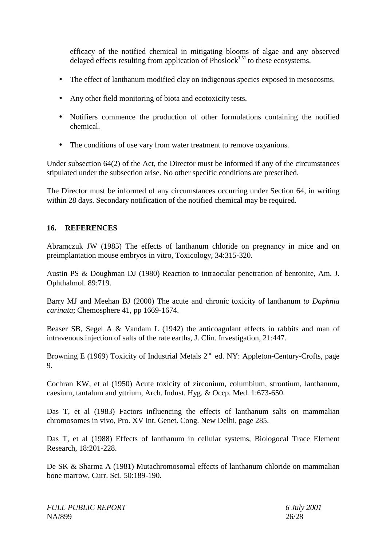efficacy of the notified chemical in mitigating blooms of algae and any observed delayed effects resulting from application of Phoslock<sup>TM</sup> to these ecosystems.

- The effect of lanthanum modified clay on indigenous species exposed in mesocosms.
- Any other field monitoring of biota and ecotoxicity tests.
- Notifiers commence the production of other formulations containing the notified chemical.
- The conditions of use vary from water treatment to remove oxyanions.

Under subsection 64(2) of the Act, the Director must be informed if any of the circumstances stipulated under the subsection arise. No other specific conditions are prescribed.

The Director must be informed of any circumstances occurring under Section 64, in writing within 28 days. Secondary notification of the notified chemical may be required.

#### **16. REFERENCES**

Abramczuk JW (1985) The effects of lanthanum chloride on pregnancy in mice and on preimplantation mouse embryos in vitro, Toxicology, 34:315-320.

Austin PS & Doughman DJ (1980) Reaction to intraocular penetration of bentonite, Am. J. Ophthalmol. 89:719.

Barry MJ and Meehan BJ (2000) The acute and chronic toxicity of lanthanum *to Daphnia carinata*; Chemosphere 41, pp 1669-1674.

Beaser SB, Segel A & Vandam L (1942) the anticoagulant effects in rabbits and man of intravenous injection of salts of the rate earths, J. Clin. Investigation, 21:447.

Browning E (1969) Toxicity of Industrial Metals  $2<sup>nd</sup>$  ed. NY: Appleton-Century-Crofts, page 9.

Cochran KW, et al (1950) Acute toxicity of zirconium, columbium, strontium, lanthanum, caesium, tantalum and yttrium, Arch. Indust. Hyg. & Occp. Med. 1:673-650.

Das T, et al (1983) Factors influencing the effects of lanthanum salts on mammalian chromosomes in vivo, Pro. XV Int. Genet. Cong. New Delhi, page 285.

Das T, et al (1988) Effects of lanthanum in cellular systems, Biologocal Trace Element Research, 18:201-228.

De SK & Sharma A (1981) Mutachromosomal effects of lanthanum chloride on mammalian bone marrow, Curr. Sci. 50:189-190.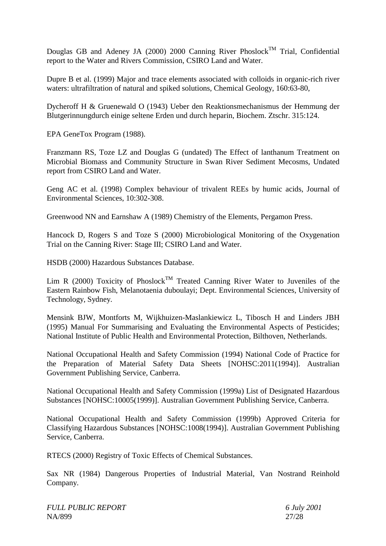Douglas GB and Adeney JA (2000) 2000 Canning River Phoslock<sup>TM</sup> Trial, Confidential report to the Water and Rivers Commission, CSIRO Land and Water.

Dupre B et al. (1999) Major and trace elements associated with colloids in organic-rich river waters: ultrafiltration of natural and spiked solutions, Chemical Geology, 160:63-80,

Dycheroff H & Gruenewald O (1943) Ueber den Reaktionsmechanismus der Hemmung der Blutgerinnungdurch einige seltene Erden und durch heparin, Biochem. Ztschr. 315:124.

EPA GeneTox Program (1988).

Franzmann RS, Toze LZ and Douglas G (undated) The Effect of lanthanum Treatment on Microbial Biomass and Community Structure in Swan River Sediment Mecosms, Undated report from CSIRO Land and Water.

Geng AC et al. (1998) Complex behaviour of trivalent REEs by humic acids, Journal of Environmental Sciences, 10:302-308.

Greenwood NN and Earnshaw A (1989) Chemistry of the Elements, Pergamon Press.

Hancock D, Rogers S and Toze S (2000) Microbiological Monitoring of the Oxygenation Trial on the Canning River: Stage III; CSIRO Land and Water.

HSDB (2000) Hazardous Substances Database.

Lim R (2000) Toxicity of Phoslock<sup>TM</sup> Treated Canning River Water to Juveniles of the Eastern Rainbow Fish, Melanotaenia duboulayi; Dept. Environmental Sciences, University of Technology, Sydney.

Mensink BJW, Montforts M, Wijkhuizen-Maslankiewicz L, Tibosch H and Linders JBH (1995) Manual For Summarising and Evaluating the Environmental Aspects of Pesticides; National Institute of Public Health and Environmental Protection, Bilthoven, Netherlands.

National Occupational Health and Safety Commission (1994) National Code of Practice for the Preparation of Material Safety Data Sheets [NOHSC:2011(1994)]. Australian Government Publishing Service, Canberra.

National Occupational Health and Safety Commission (1999a) List of Designated Hazardous Substances [NOHSC:10005(1999)]. Australian Government Publishing Service, Canberra.

National Occupational Health and Safety Commission (1999b) Approved Criteria for Classifying Hazardous Substances [NOHSC:1008(1994)]. Australian Government Publishing Service, Canberra.

RTECS (2000) Registry of Toxic Effects of Chemical Substances.

Sax NR (1984) Dangerous Properties of Industrial Material, Van Nostrand Reinhold Company.

| <b>FULL PUBLIC REPORT</b> | $6$ July |
|---------------------------|----------|
| NA/899                    | 27/28    |